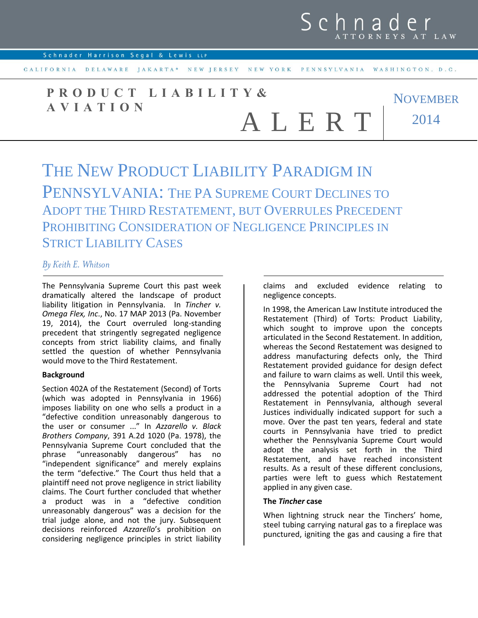

CALIFORNIA DELAWARE JAKARTA\* NEW JERSEY NEW YORK PENNSYLVANIA WASHINGTON, D.C.

NOVEMBER 2014 **P R O D U C T L I A B I L I T Y & A V I A T I O N** A L E R T

# THE NEW PRODUCT LIABILITY PARADIGM IN PENNSYLVANIA: THE PA SUPREME COURT DECLINES TO ADOPT THE THIRD RESTATEMENT, BUT OVERRULES PRECEDENT PROHIBITING CONSIDERATION OF NEGLIGENCE PRINCIPLES IN STRICT LIABILITY CASES

# *By Keith E. Whitson*

The Pennsylvania Supreme Court this past week dramatically altered the landscape of product liability litigation in Pennsylvania. In *Tincher v. Omega Flex, Inc*., No. 17 MAP 2013 (Pa. November 19, 2014), the Court overruled long-standing precedent that stringently segregated negligence concepts from strict liability claims, and finally settled the question of whether Pennsylvania would move to the Third Restatement.

#### **Background**

Section 402A of the Restatement (Second) of Torts (which was adopted in Pennsylvania in 1966) imposes liability on one who sells a product in a "defective condition unreasonably dangerous to the user or consumer ..." In *Azzarello v. Black Brothers Company*, 391 A.2d 1020 (Pa. 1978), the Pennsylvania Supreme Court concluded that the phrase "unreasonably dangerous" has no "unreasonably dangerous" has no "independent significance" and merely explains the term "defective." The Court thus held that a plaintiff need not prove negligence in strict liability claims. The Court further concluded that whether a product was in a "defective condition unreasonably dangerous" was a decision for the trial judge alone, and not the jury. Subsequent decisions reinforced *Azzarello*'s prohibition on considering negligence principles in strict liability claims and excluded evidence relating to negligence concepts.

In 1998, the American Law Institute introduced the Restatement (Third) of Torts: Product Liability, which sought to improve upon the concepts articulated in the Second Restatement. In addition, whereas the Second Restatement was designed to address manufacturing defects only, the Third Restatement provided guidance for design defect and failure to warn claims as well. Until this week, the Pennsylvania Supreme Court had not addressed the potential adoption of the Third Restatement in Pennsylvania, although several Justices individually indicated support for such a move. Over the past ten years, federal and state courts in Pennsylvania have tried to predict whether the Pennsylvania Supreme Court would adopt the analysis set forth in the Third Restatement, and have reached inconsistent results. As a result of these different conclusions, parties were left to guess which Restatement applied in any given case.

#### **The** *Tincher* **case**

When lightning struck near the Tinchers' home, steel tubing carrying natural gas to a fireplace was punctured, igniting the gas and causing a fire that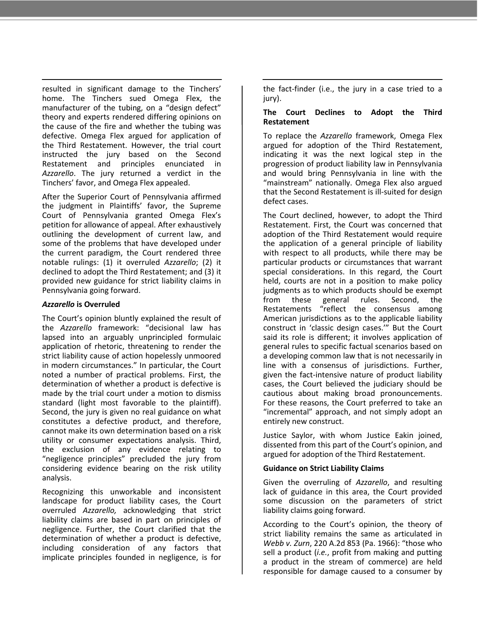resulted in significant damage to the Tinchers' home. The Tinchers sued Omega Flex, the manufacturer of the tubing, on a "design defect" theory and experts rendered differing opinions on the cause of the fire and whether the tubing was defective. Omega Flex argued for application of the Third Restatement. However, the trial court instructed the jury based on the Second Restatement and principles enunciated in *Azzarello*. The jury returned a verdict in the Tinchers' favor, and Omega Flex appealed.

After the Superior Court of Pennsylvania affirmed the judgment in Plaintiffs' favor, the Supreme Court of Pennsylvania granted Omega Flex's petition for allowance of appeal. After exhaustively outlining the development of current law, and some of the problems that have developed under the current paradigm, the Court rendered three notable rulings: (1) it overruled *Azzarello*; (2) it declined to adopt the Third Restatement; and (3) it provided new guidance for strict liability claims in Pennsylvania going forward.

# *Azzarello* **is Overruled**

The Court's opinion bluntly explained the result of the *Azzarello* framework: "decisional law has lapsed into an arguably unprincipled formulaic application of rhetoric, threatening to render the strict liability cause of action hopelessly unmoored in modern circumstances." In particular, the Court noted a number of practical problems. First, the determination of whether a product is defective is made by the trial court under a motion to dismiss standard (light most favorable to the plaintiff). Second, the jury is given no real guidance on what constitutes a defective product, and therefore, cannot make its own determination based on a risk utility or consumer expectations analysis. Third, the exclusion of any evidence relating to "negligence principles" precluded the jury from considering evidence bearing on the risk utility analysis.

Recognizing this unworkable and inconsistent landscape for product liability cases, the Court overruled *Azzarello,* acknowledging that strict liability claims are based in part on principles of negligence. Further, the Court clarified that the determination of whether a product is defective, including consideration of any factors that implicate principles founded in negligence, is for the fact-finder (i.e., the jury in a case tried to a jury).

## **The Court Declines to Adopt the Third Restatement**

To replace the *Azzarello* framework, Omega Flex argued for adoption of the Third Restatement, indicating it was the next logical step in the progression of product liability law in Pennsylvania and would bring Pennsylvania in line with the "mainstream" nationally. Omega Flex also argued that the Second Restatement is ill-suited for design defect cases.

The Court declined, however, to adopt the Third Restatement. First, the Court was concerned that adoption of the Third Restatement would require the application of a general principle of liability with respect to all products, while there may be particular products or circumstances that warrant special considerations. In this regard, the Court held, courts are not in a position to make policy judgments as to which products should be exempt from these general rules. Second, the Restatements "reflect the consensus among American jurisdictions as to the applicable liability construct in 'classic design cases.'" But the Court said its role is different; it involves application of general rules to specific factual scenarios based on a developing common law that is not necessarily in line with a consensus of jurisdictions. Further, given the fact-intensive nature of product liability cases, the Court believed the judiciary should be cautious about making broad pronouncements. For these reasons, the Court preferred to take an "incremental" approach, and not simply adopt an entirely new construct.

Justice Saylor, with whom Justice Eakin joined, dissented from this part of the Court's opinion, and argued for adoption of the Third Restatement.

### **Guidance on Strict Liability Claims**

Given the overruling of *Azzarello*, and resulting lack of guidance in this area, the Court provided some discussion on the parameters of strict liability claims going forward.

According to the Court's opinion, the theory of strict liability remains the same as articulated in *Webb v. Zurn*, 220 A.2d 853 (Pa. 1966): "those who sell a product (*i.e.*, profit from making and putting a product in the stream of commerce) are held responsible for damage caused to a consumer by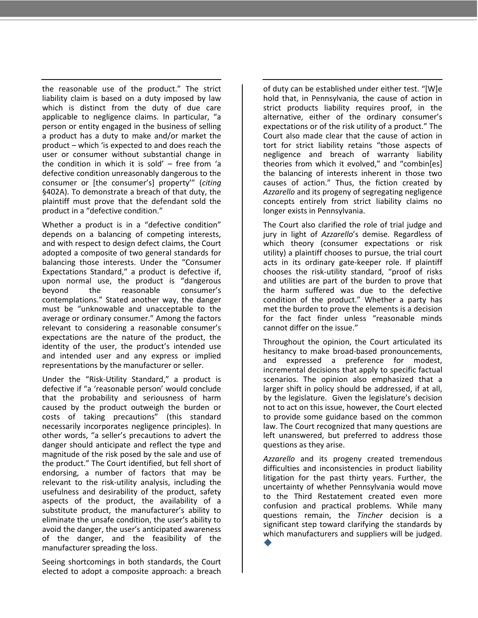the reasonable use of the product." The strict liability claim is based on a duty imposed by law which is distinct from the duty of due care applicable to negligence claims. In particular, "a person or entity engaged in the business of selling a product has a duty to make and/or market the product – which 'is expected to and does reach the user or consumer without substantial change in the condition in which it is sold' – free from 'a defective condition unreasonably dangerous to the consumer or (the consumer's) property'" (*citing* §402A). To demonstrate a breach of that duty, the plaintiff must prove that the defendant sold the product in a "defective condition."

Whether a product is in a "defective condition" depends on a balancing of competing interests, and with respect to design defect claims, the Court adopted a composite of two general standards for balancing those interests. Under the "Consumer Expectations Standard," a product is defective if, upon normal use, the product is "dangerous beyond the reasonable consumer's contemplations." Stated another way, the danger must be "unknowable and unacceptable to the average or ordinary consumer." Among the factors relevant to considering a reasonable consumer's expectations are the nature of the product, the identity of the user, the product's intended use and intended user and any express or implied representations by the manufacturer or seller.

Under the "Risk-Utility Standard," a product is defective if "a 'reasonable person' would conclude that the probability and seriousness of harm caused by the product outweigh the burden or costs of taking precautions" (this standard necessarily incorporates negligence principles). In other words, "a seller's precautions to advert the danger should anticipate and reflect the type and magnitude of the risk posed by the sale and use of the product." The Court identified, but fell short of endorsing, a number of factors that may be relevant to the risk-utility analysis, including the usefulness and desirability of the product, safety aspects of the product, the availability of a substitute product, the manufacturer's ability to eliminate the unsafe condition, the user's ability to avoid the danger, the user's anticipated awareness of the danger, and the feasibility of the manufacturer spreading the loss.

Seeing shortcomings in both standards, the Court elected to adopt a composite approach: a breach of duty can be established under either test. "[W]e hold that, in Pennsylvania, the cause of action in strict products liability requires proof, in the alternative, either of the ordinary consumer's expectations or of the risk utility of a product." The Court also made clear that the cause of action in tort for strict liability retains "those aspects of negligence and breach of warranty liability theories from which it evolved," and "combin[es] the balancing of interests inherent in those two causes of action." Thus, the fiction created by *Azzarello* and its progeny of segregating negligence concepts entirely from strict liability claims no longer exists in Pennsylvania.

The Court also clarified the role of trial judge and jury in light of *Azzarello*'s demise. Regardless of which theory (consumer expectations or risk utility) a plaintiff chooses to pursue, the trial court acts in its ordinary gate-keeper role. If plaintiff chooses the risk-utility standard, "proof of risks and utilities are part of the burden to prove that the harm suffered was due to the defective condition of the product." Whether a party has met the burden to prove the elements is a decision for the fact finder unless "reasonable minds cannot differ on the issue."

Throughout the opinion, the Court articulated its hesitancy to make broad-based pronouncements, and expressed a preference for modest, incremental decisions that apply to specific factual scenarios. The opinion also emphasized that a larger shift in policy should be addressed, if at all, by the legislature. Given the legislature's decision not to act on this issue, however, the Court elected to provide some guidance based on the common law. The Court recognized that many questions are left unanswered, but preferred to address those questions as they arise.

*Azzarello* and its progeny created tremendous difficulties and inconsistencies in product liability litigation for the past thirty years. Further, the uncertainty of whether Pennsylvania would move to the Third Restatement created even more confusion and practical problems. While many questions remain, the *Tincher* decision is a significant step toward clarifying the standards by which manufacturers and suppliers will be judged.

 $\blacklozenge$